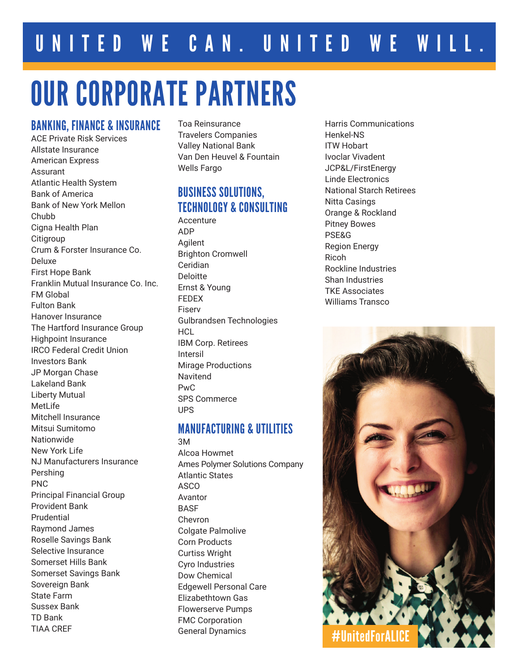# OUR CORPORATE PARTNERS

#### BANKING, FINANCE & INSURANCE

ACE Private Risk Services Allstate Insurance American Express Assurant Atlantic Health System Bank of America Bank of New York Mellon **Chubb** Cigna Health Plan **Citigroup** Crum & Forster Insurance Co. Deluxe First Hope Bank Franklin Mutual Insurance Co. Inc. FM Global Fulton Bank Hanover Insurance The Hartford Insurance Group Highpoint Insurance IRCO Federal Credit Union Investors Bank JP Morgan Chase Lakeland Bank Liberty Mutual MetLife Mitchell Insurance Mitsui Sumitomo Nationwide New York Life NJ Manufacturers Insurance Pershing PNC Principal Financial Group Provident Bank Prudential Raymond James Roselle Savings Bank Selective Insurance Somerset Hills Bank Somerset Savings Bank Sovereign Bank State Farm Sussex Bank TD Bank TIAA CREF

Toa Reinsurance Travelers Companies Valley National Bank Van Den Heuvel & Fountain Wells Fargo

# BUSINESS SOLUTIONS, TECHNOLOGY & CONSULTING

Accenture ADP Agilent Brighton Cromwell Ceridian Deloitte Ernst & Young FEDEX Fiserv Gulbrandsen Technologies **HCL** IBM Corp. Retirees Intersil Mirage Productions Navitend PwC SPS Commerce UPS

#### MANUFACTURING & UTILITIES

3M Alcoa Howmet Ames Polymer Solutions Company Atlantic States ASCO Avantor **BASE** Chevron Colgate Palmolive Corn Products Curtiss Wright Cyro Industries Dow Chemical Edgewell Personal Care Elizabethtown Gas Flowerserve Pumps FMC Corporation General Dynamics

Harris Communications Henkel-NS ITW Hobart Ivoclar Vivadent JCP&L/FirstEnergy Linde Electronics National Starch Retirees Nitta Casings Orange & Rockland Pitney Bowes PSE&G Region Energy Ricoh Rockline Industries Shan Industries TKE Associates Williams Transco